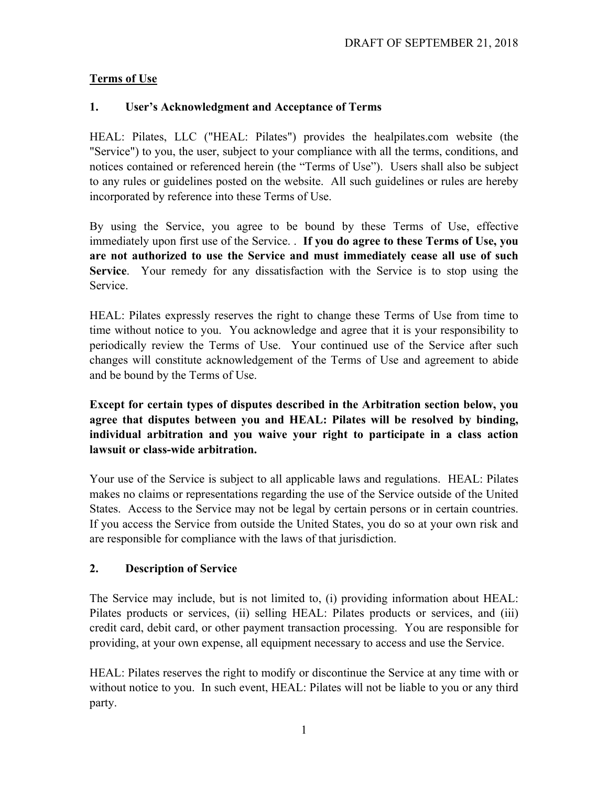# **Terms of Use**

## **1. User's Acknowledgment and Acceptance of Terms**

HEAL: Pilates, LLC ("HEAL: Pilates") provides the healpilates.com website (the "Service") to you, the user, subject to your compliance with all the terms, conditions, and notices contained or referenced herein (the "Terms of Use"). Users shall also be subject to any rules or guidelines posted on the website. All such guidelines or rules are hereby incorporated by reference into these Terms of Use.

By using the Service, you agree to be bound by these Terms of Use, effective immediately upon first use of the Service. . **If you do agree to these Terms of Use, you are not authorized to use the Service and must immediately cease all use of such Service**. Your remedy for any dissatisfaction with the Service is to stop using the Service.

HEAL: Pilates expressly reserves the right to change these Terms of Use from time to time without notice to you. You acknowledge and agree that it is your responsibility to periodically review the Terms of Use. Your continued use of the Service after such changes will constitute acknowledgement of the Terms of Use and agreement to abide and be bound by the Terms of Use.

**Except for certain types of disputes described in the Arbitration section below, you agree that disputes between you and HEAL: Pilates will be resolved by binding, individual arbitration and you waive your right to participate in a class action lawsuit or class-wide arbitration.**

Your use of the Service is subject to all applicable laws and regulations. HEAL: Pilates makes no claims or representations regarding the use of the Service outside of the United States. Access to the Service may not be legal by certain persons or in certain countries. If you access the Service from outside the United States, you do so at your own risk and are responsible for compliance with the laws of that jurisdiction.

#### **2. Description of Service**

The Service may include, but is not limited to, (i) providing information about HEAL: Pilates products or services, (ii) selling HEAL: Pilates products or services, and (iii) credit card, debit card, or other payment transaction processing. You are responsible for providing, at your own expense, all equipment necessary to access and use the Service.

HEAL: Pilates reserves the right to modify or discontinue the Service at any time with or without notice to you. In such event, HEAL: Pilates will not be liable to you or any third party.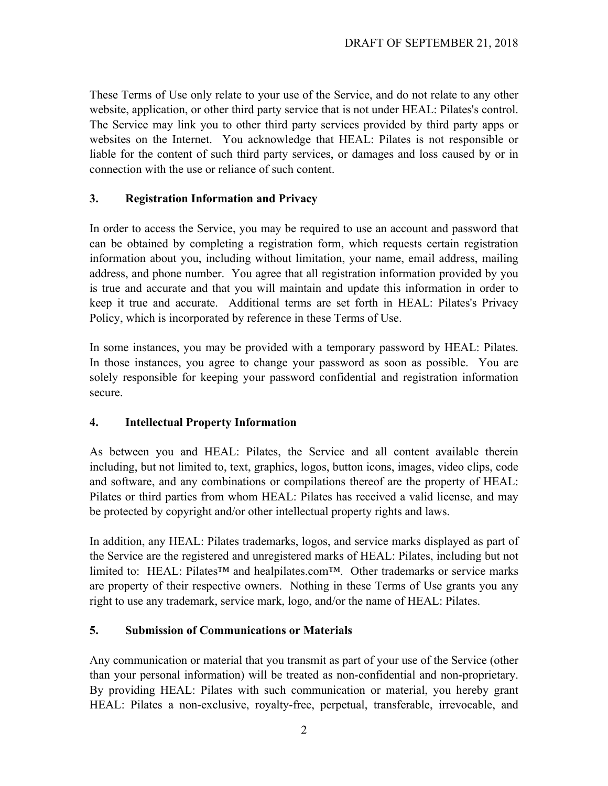These Terms of Use only relate to your use of the Service, and do not relate to any other website, application, or other third party service that is not under HEAL: Pilates's control. The Service may link you to other third party services provided by third party apps or websites on the Internet. You acknowledge that HEAL: Pilates is not responsible or liable for the content of such third party services, or damages and loss caused by or in connection with the use or reliance of such content.

#### **3. Registration Information and Privacy**

In order to access the Service, you may be required to use an account and password that can be obtained by completing a registration form, which requests certain registration information about you, including without limitation, your name, email address, mailing address, and phone number. You agree that all registration information provided by you is true and accurate and that you will maintain and update this information in order to keep it true and accurate. Additional terms are set forth in HEAL: Pilates's Privacy Policy, which is incorporated by reference in these Terms of Use.

In some instances, you may be provided with a temporary password by HEAL: Pilates. In those instances, you agree to change your password as soon as possible. You are solely responsible for keeping your password confidential and registration information secure.

#### **4. Intellectual Property Information**

As between you and HEAL: Pilates, the Service and all content available therein including, but not limited to, text, graphics, logos, button icons, images, video clips, code and software, and any combinations or compilations thereof are the property of HEAL: Pilates or third parties from whom HEAL: Pilates has received a valid license, and may be protected by copyright and/or other intellectual property rights and laws.

In addition, any HEAL: Pilates trademarks, logos, and service marks displayed as part of the Service are the registered and unregistered marks of HEAL: Pilates, including but not limited to: HEAL: Pilates<sup>™</sup> and healpilates.com™. Other trademarks or service marks are property of their respective owners. Nothing in these Terms of Use grants you any right to use any trademark, service mark, logo, and/or the name of HEAL: Pilates.

#### **5. Submission of Communications or Materials**

Any communication or material that you transmit as part of your use of the Service (other than your personal information) will be treated as non-confidential and non-proprietary. By providing HEAL: Pilates with such communication or material, you hereby grant HEAL: Pilates a non-exclusive, royalty-free, perpetual, transferable, irrevocable, and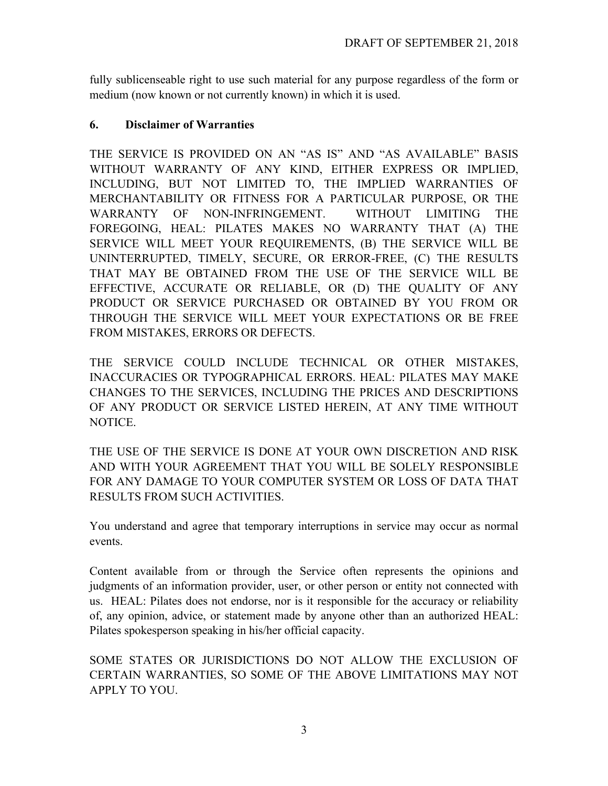fully sublicenseable right to use such material for any purpose regardless of the form or medium (now known or not currently known) in which it is used.

#### **6. Disclaimer of Warranties**

THE SERVICE IS PROVIDED ON AN "AS IS" AND "AS AVAILABLE" BASIS WITHOUT WARRANTY OF ANY KIND, EITHER EXPRESS OR IMPLIED, INCLUDING, BUT NOT LIMITED TO, THE IMPLIED WARRANTIES OF MERCHANTABILITY OR FITNESS FOR A PARTICULAR PURPOSE, OR THE WARRANTY OF NON-INFRINGEMENT. WITHOUT LIMITING THE FOREGOING, HEAL: PILATES MAKES NO WARRANTY THAT (A) THE SERVICE WILL MEET YOUR REQUIREMENTS, (B) THE SERVICE WILL BE UNINTERRUPTED, TIMELY, SECURE, OR ERROR-FREE, (C) THE RESULTS THAT MAY BE OBTAINED FROM THE USE OF THE SERVICE WILL BE EFFECTIVE, ACCURATE OR RELIABLE, OR (D) THE QUALITY OF ANY PRODUCT OR SERVICE PURCHASED OR OBTAINED BY YOU FROM OR THROUGH THE SERVICE WILL MEET YOUR EXPECTATIONS OR BE FREE FROM MISTAKES, ERRORS OR DEFECTS.

THE SERVICE COULD INCLUDE TECHNICAL OR OTHER MISTAKES, INACCURACIES OR TYPOGRAPHICAL ERRORS. HEAL: PILATES MAY MAKE CHANGES TO THE SERVICES, INCLUDING THE PRICES AND DESCRIPTIONS OF ANY PRODUCT OR SERVICE LISTED HEREIN, AT ANY TIME WITHOUT NOTICE.

THE USE OF THE SERVICE IS DONE AT YOUR OWN DISCRETION AND RISK AND WITH YOUR AGREEMENT THAT YOU WILL BE SOLELY RESPONSIBLE FOR ANY DAMAGE TO YOUR COMPUTER SYSTEM OR LOSS OF DATA THAT RESULTS FROM SUCH ACTIVITIES.

You understand and agree that temporary interruptions in service may occur as normal events.

Content available from or through the Service often represents the opinions and judgments of an information provider, user, or other person or entity not connected with us. HEAL: Pilates does not endorse, nor is it responsible for the accuracy or reliability of, any opinion, advice, or statement made by anyone other than an authorized HEAL: Pilates spokesperson speaking in his/her official capacity.

SOME STATES OR JURISDICTIONS DO NOT ALLOW THE EXCLUSION OF CERTAIN WARRANTIES, SO SOME OF THE ABOVE LIMITATIONS MAY NOT APPLY TO YOU.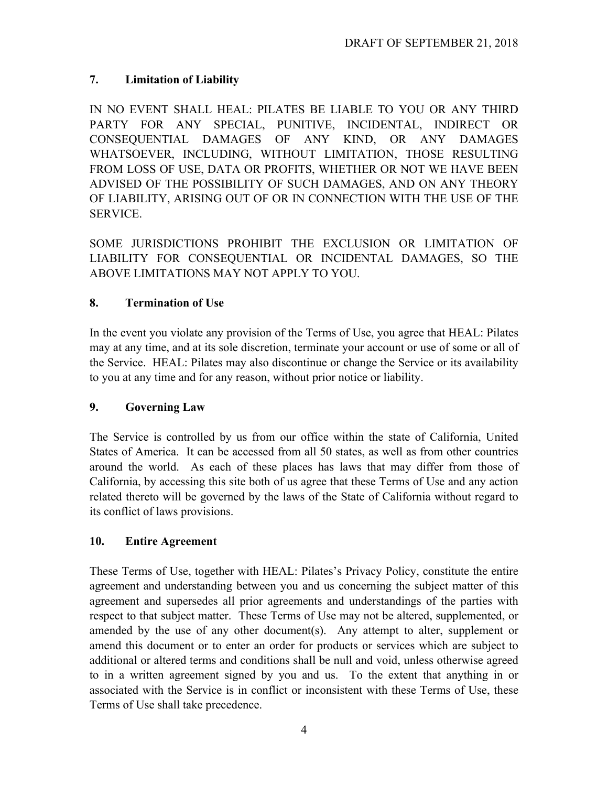# **7. Limitation of Liability**

IN NO EVENT SHALL HEAL: PILATES BE LIABLE TO YOU OR ANY THIRD PARTY FOR ANY SPECIAL, PUNITIVE, INCIDENTAL, INDIRECT OR CONSEQUENTIAL DAMAGES OF ANY KIND, OR ANY DAMAGES WHATSOEVER, INCLUDING, WITHOUT LIMITATION, THOSE RESULTING FROM LOSS OF USE, DATA OR PROFITS, WHETHER OR NOT WE HAVE BEEN ADVISED OF THE POSSIBILITY OF SUCH DAMAGES, AND ON ANY THEORY OF LIABILITY, ARISING OUT OF OR IN CONNECTION WITH THE USE OF THE SERVICE.

SOME JURISDICTIONS PROHIBIT THE EXCLUSION OR LIMITATION OF LIABILITY FOR CONSEQUENTIAL OR INCIDENTAL DAMAGES, SO THE ABOVE LIMITATIONS MAY NOT APPLY TO YOU.

# **8. Termination of Use**

In the event you violate any provision of the Terms of Use, you agree that HEAL: Pilates may at any time, and at its sole discretion, terminate your account or use of some or all of the Service. HEAL: Pilates may also discontinue or change the Service or its availability to you at any time and for any reason, without prior notice or liability.

# **9. Governing Law**

The Service is controlled by us from our office within the state of California, United States of America. It can be accessed from all 50 states, as well as from other countries around the world. As each of these places has laws that may differ from those of California, by accessing this site both of us agree that these Terms of Use and any action related thereto will be governed by the laws of the State of California without regard to its conflict of laws provisions.

# **10. Entire Agreement**

These Terms of Use, together with HEAL: Pilates's Privacy Policy, constitute the entire agreement and understanding between you and us concerning the subject matter of this agreement and supersedes all prior agreements and understandings of the parties with respect to that subject matter. These Terms of Use may not be altered, supplemented, or amended by the use of any other document(s). Any attempt to alter, supplement or amend this document or to enter an order for products or services which are subject to additional or altered terms and conditions shall be null and void, unless otherwise agreed to in a written agreement signed by you and us. To the extent that anything in or associated with the Service is in conflict or inconsistent with these Terms of Use, these Terms of Use shall take precedence.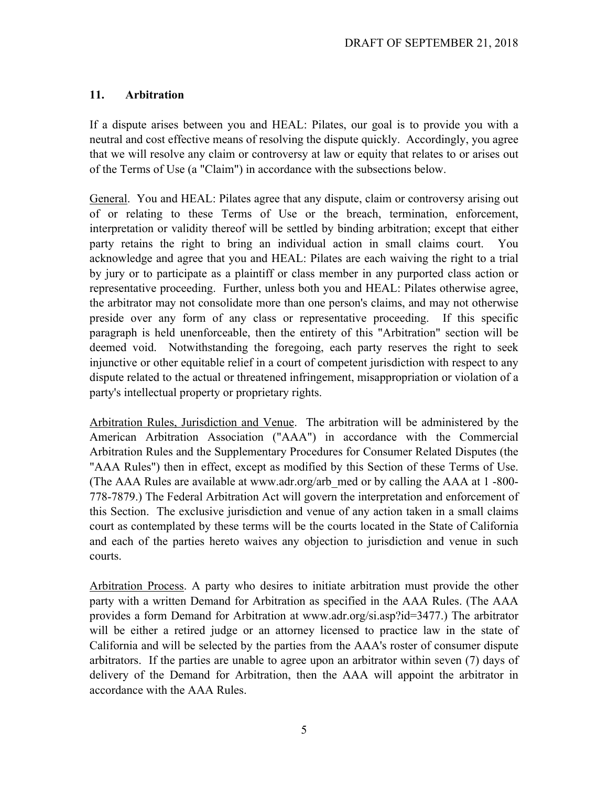### **11. Arbitration**

If a dispute arises between you and HEAL: Pilates, our goal is to provide you with a neutral and cost effective means of resolving the dispute quickly. Accordingly, you agree that we will resolve any claim or controversy at law or equity that relates to or arises out of the Terms of Use (a "Claim") in accordance with the subsections below.

General. You and HEAL: Pilates agree that any dispute, claim or controversy arising out of or relating to these Terms of Use or the breach, termination, enforcement, interpretation or validity thereof will be settled by binding arbitration; except that either party retains the right to bring an individual action in small claims court. You acknowledge and agree that you and HEAL: Pilates are each waiving the right to a trial by jury or to participate as a plaintiff or class member in any purported class action or representative proceeding. Further, unless both you and HEAL: Pilates otherwise agree, the arbitrator may not consolidate more than one person's claims, and may not otherwise preside over any form of any class or representative proceeding. If this specific paragraph is held unenforceable, then the entirety of this "Arbitration" section will be deemed void. Notwithstanding the foregoing, each party reserves the right to seek injunctive or other equitable relief in a court of competent jurisdiction with respect to any dispute related to the actual or threatened infringement, misappropriation or violation of a party's intellectual property or proprietary rights.

Arbitration Rules, Jurisdiction and Venue. The arbitration will be administered by the American Arbitration Association ("AAA") in accordance with the Commercial Arbitration Rules and the Supplementary Procedures for Consumer Related Disputes (the "AAA Rules") then in effect, except as modified by this Section of these Terms of Use. (The AAA Rules are available at www.adr.org/arb\_med or by calling the AAA at 1 -800- 778-7879.) The Federal Arbitration Act will govern the interpretation and enforcement of this Section. The exclusive jurisdiction and venue of any action taken in a small claims court as contemplated by these terms will be the courts located in the State of California and each of the parties hereto waives any objection to jurisdiction and venue in such courts.

Arbitration Process. A party who desires to initiate arbitration must provide the other party with a written Demand for Arbitration as specified in the AAA Rules. (The AAA provides a form Demand for Arbitration at www.adr.org/si.asp?id=3477.) The arbitrator will be either a retired judge or an attorney licensed to practice law in the state of California and will be selected by the parties from the AAA's roster of consumer dispute arbitrators. If the parties are unable to agree upon an arbitrator within seven (7) days of delivery of the Demand for Arbitration, then the AAA will appoint the arbitrator in accordance with the AAA Rules.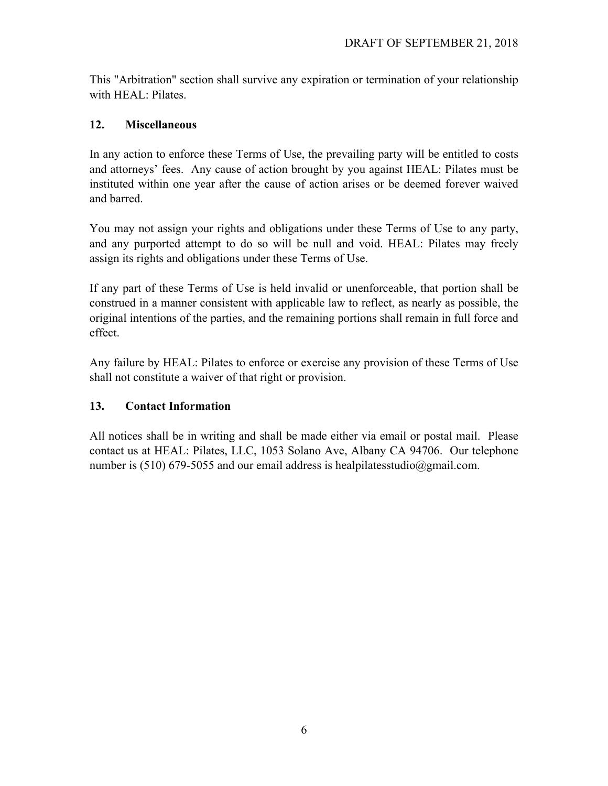This "Arbitration" section shall survive any expiration or termination of your relationship with HEAL: Pilates.

### **12. Miscellaneous**

In any action to enforce these Terms of Use, the prevailing party will be entitled to costs and attorneys' fees. Any cause of action brought by you against HEAL: Pilates must be instituted within one year after the cause of action arises or be deemed forever waived and barred.

You may not assign your rights and obligations under these Terms of Use to any party, and any purported attempt to do so will be null and void. HEAL: Pilates may freely assign its rights and obligations under these Terms of Use.

If any part of these Terms of Use is held invalid or unenforceable, that portion shall be construed in a manner consistent with applicable law to reflect, as nearly as possible, the original intentions of the parties, and the remaining portions shall remain in full force and effect.

Any failure by HEAL: Pilates to enforce or exercise any provision of these Terms of Use shall not constitute a waiver of that right or provision.

# **13. Contact Information**

All notices shall be in writing and shall be made either via email or postal mail. Please contact us at HEAL: Pilates, LLC, 1053 Solano Ave, Albany CA 94706. Our telephone number is (510) 679-5055 and our email address is healpilatesstudio@gmail.com.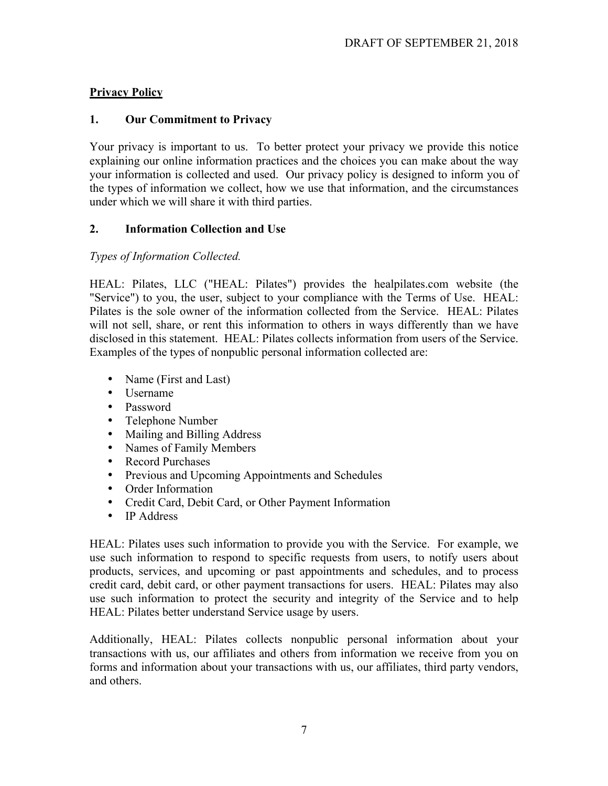## **Privacy Policy**

#### **1. Our Commitment to Privacy**

Your privacy is important to us. To better protect your privacy we provide this notice explaining our online information practices and the choices you can make about the way your information is collected and used. Our privacy policy is designed to inform you of the types of information we collect, how we use that information, and the circumstances under which we will share it with third parties.

### **2. Information Collection and Use**

### *Types of Information Collected.*

HEAL: Pilates, LLC ("HEAL: Pilates") provides the healpilates.com website (the "Service") to you, the user, subject to your compliance with the Terms of Use. HEAL: Pilates is the sole owner of the information collected from the Service. HEAL: Pilates will not sell, share, or rent this information to others in ways differently than we have disclosed in this statement. HEAL: Pilates collects information from users of the Service. Examples of the types of nonpublic personal information collected are:

- Name (First and Last)
- Username
- Password
- Telephone Number
- Mailing and Billing Address
- Names of Family Members
- Record Purchases
- Previous and Upcoming Appointments and Schedules
- Order Information
- Credit Card, Debit Card, or Other Payment Information
- IP Address

HEAL: Pilates uses such information to provide you with the Service. For example, we use such information to respond to specific requests from users, to notify users about products, services, and upcoming or past appointments and schedules, and to process credit card, debit card, or other payment transactions for users. HEAL: Pilates may also use such information to protect the security and integrity of the Service and to help HEAL: Pilates better understand Service usage by users.

Additionally, HEAL: Pilates collects nonpublic personal information about your transactions with us, our affiliates and others from information we receive from you on forms and information about your transactions with us, our affiliates, third party vendors, and others.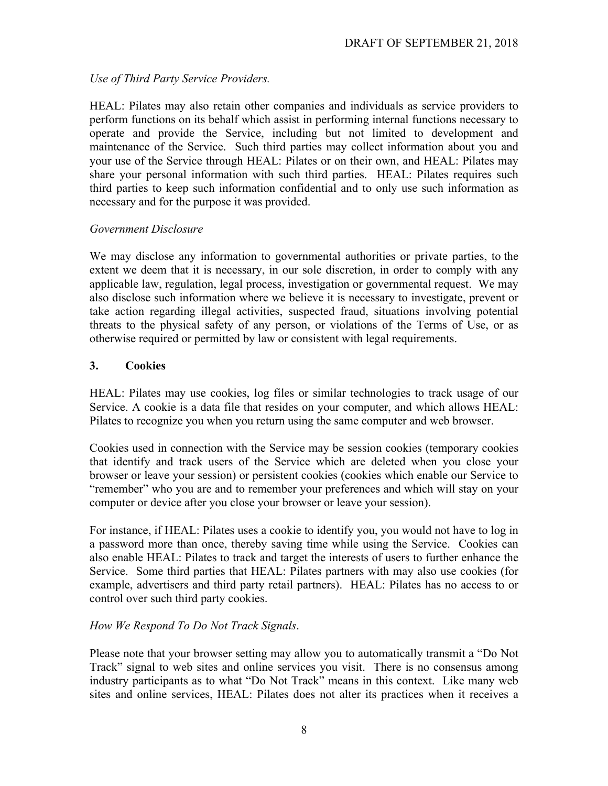### *Use of Third Party Service Providers.*

HEAL: Pilates may also retain other companies and individuals as service providers to perform functions on its behalf which assist in performing internal functions necessary to operate and provide the Service, including but not limited to development and maintenance of the Service. Such third parties may collect information about you and your use of the Service through HEAL: Pilates or on their own, and HEAL: Pilates may share your personal information with such third parties. HEAL: Pilates requires such third parties to keep such information confidential and to only use such information as necessary and for the purpose it was provided.

#### *Government Disclosure*

We may disclose any information to governmental authorities or private parties, to the extent we deem that it is necessary, in our sole discretion, in order to comply with any applicable law, regulation, legal process, investigation or governmental request. We may also disclose such information where we believe it is necessary to investigate, prevent or take action regarding illegal activities, suspected fraud, situations involving potential threats to the physical safety of any person, or violations of the Terms of Use, or as otherwise required or permitted by law or consistent with legal requirements.

### **3. Cookies**

HEAL: Pilates may use cookies, log files or similar technologies to track usage of our Service. A cookie is a data file that resides on your computer, and which allows HEAL: Pilates to recognize you when you return using the same computer and web browser.

Cookies used in connection with the Service may be session cookies (temporary cookies that identify and track users of the Service which are deleted when you close your browser or leave your session) or persistent cookies (cookies which enable our Service to "remember" who you are and to remember your preferences and which will stay on your computer or device after you close your browser or leave your session).

For instance, if HEAL: Pilates uses a cookie to identify you, you would not have to log in a password more than once, thereby saving time while using the Service. Cookies can also enable HEAL: Pilates to track and target the interests of users to further enhance the Service. Some third parties that HEAL: Pilates partners with may also use cookies (for example, advertisers and third party retail partners). HEAL: Pilates has no access to or control over such third party cookies.

# *How We Respond To Do Not Track Signals*.

Please note that your browser setting may allow you to automatically transmit a "Do Not Track" signal to web sites and online services you visit. There is no consensus among industry participants as to what "Do Not Track" means in this context. Like many web sites and online services, HEAL: Pilates does not alter its practices when it receives a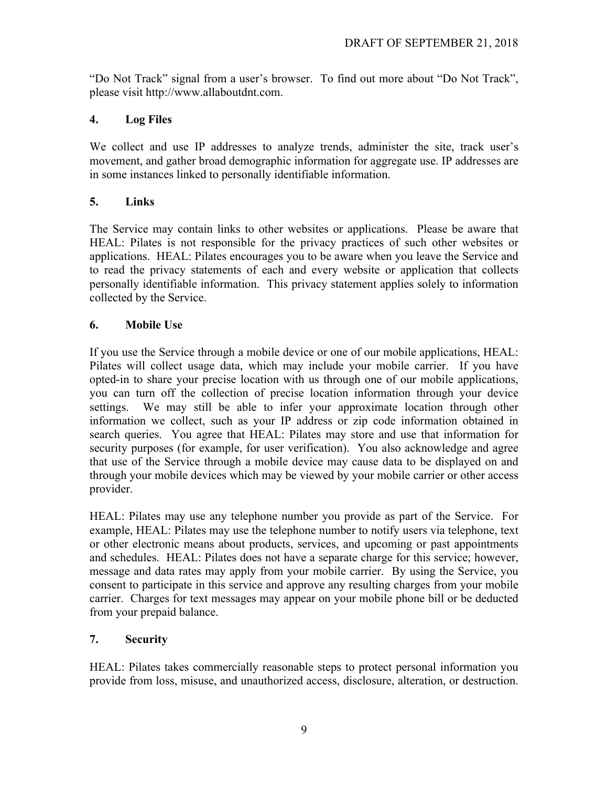"Do Not Track" signal from a user's browser. To find out more about "Do Not Track", please visit http://www.allaboutdnt.com.

# **4. Log Files**

We collect and use IP addresses to analyze trends, administer the site, track user's movement, and gather broad demographic information for aggregate use. IP addresses are in some instances linked to personally identifiable information.

# **5. Links**

The Service may contain links to other websites or applications. Please be aware that HEAL: Pilates is not responsible for the privacy practices of such other websites or applications. HEAL: Pilates encourages you to be aware when you leave the Service and to read the privacy statements of each and every website or application that collects personally identifiable information. This privacy statement applies solely to information collected by the Service.

# **6. Mobile Use**

If you use the Service through a mobile device or one of our mobile applications, HEAL: Pilates will collect usage data, which may include your mobile carrier. If you have opted-in to share your precise location with us through one of our mobile applications, you can turn off the collection of precise location information through your device settings. We may still be able to infer your approximate location through other information we collect, such as your IP address or zip code information obtained in search queries. You agree that HEAL: Pilates may store and use that information for security purposes (for example, for user verification). You also acknowledge and agree that use of the Service through a mobile device may cause data to be displayed on and through your mobile devices which may be viewed by your mobile carrier or other access provider.

HEAL: Pilates may use any telephone number you provide as part of the Service. For example, HEAL: Pilates may use the telephone number to notify users via telephone, text or other electronic means about products, services, and upcoming or past appointments and schedules. HEAL: Pilates does not have a separate charge for this service; however, message and data rates may apply from your mobile carrier. By using the Service, you consent to participate in this service and approve any resulting charges from your mobile carrier. Charges for text messages may appear on your mobile phone bill or be deducted from your prepaid balance.

# **7. Security**

HEAL: Pilates takes commercially reasonable steps to protect personal information you provide from loss, misuse, and unauthorized access, disclosure, alteration, or destruction.